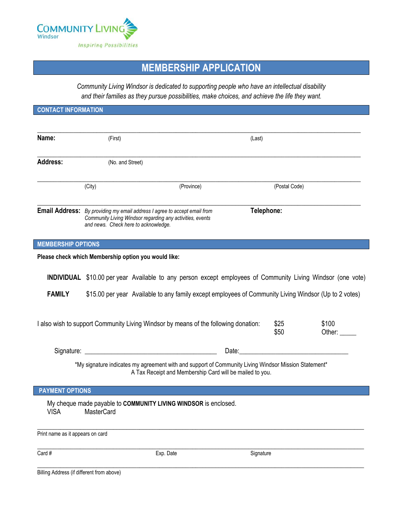

## **MEMBERSHIP APPLICATION**

*Community Living Windsor is dedicated to supporting people who have an intellectual disability and their families as they pursue possibilities, make choices, and achieve the life they want.*

| <b>CONTACT INFORMATION</b>                |                                                                                                                                                                                |                                                                                                                                                                                                                                |               |                 |
|-------------------------------------------|--------------------------------------------------------------------------------------------------------------------------------------------------------------------------------|--------------------------------------------------------------------------------------------------------------------------------------------------------------------------------------------------------------------------------|---------------|-----------------|
|                                           |                                                                                                                                                                                |                                                                                                                                                                                                                                |               |                 |
| Name:                                     | (First)                                                                                                                                                                        | (Last)                                                                                                                                                                                                                         |               |                 |
| <b>Address:</b>                           | (No. and Street)                                                                                                                                                               |                                                                                                                                                                                                                                |               |                 |
|                                           | (City)<br>(Province)                                                                                                                                                           |                                                                                                                                                                                                                                | (Postal Code) |                 |
|                                           | Email Address: By providing my email address I agree to accept email from<br>Community Living Windsor regarding any activities, events<br>and news. Check here to acknowledge. |                                                                                                                                                                                                                                | Telephone:    |                 |
| <b>MEMBERSHIP OPTIONS</b>                 |                                                                                                                                                                                |                                                                                                                                                                                                                                |               |                 |
|                                           | Please check which Membership option you would like:                                                                                                                           |                                                                                                                                                                                                                                |               |                 |
|                                           | INDIVIDUAL \$10.00 per year Available to any person except employees of Community Living Windsor (one vote)                                                                    |                                                                                                                                                                                                                                |               |                 |
| <b>FAMILY</b>                             | \$15.00 per year Available to any family except employees of Community Living Windsor (Up to 2 votes)                                                                          |                                                                                                                                                                                                                                |               |                 |
|                                           | I also wish to support Community Living Windsor by means of the following donation:                                                                                            |                                                                                                                                                                                                                                | \$25<br>\$50  | \$100<br>Other: |
|                                           |                                                                                                                                                                                | Date: the contract of the contract of the contract of the contract of the contract of the contract of the contract of the contract of the contract of the contract of the contract of the contract of the contract of the cont |               |                 |
|                                           | *My signature indicates my agreement with and support of Community Living Windsor Mission Statement*<br>A Tax Receipt and Membership Card will be mailed to you.               |                                                                                                                                                                                                                                |               |                 |
| <b>PAYMENT OPTIONS</b>                    |                                                                                                                                                                                |                                                                                                                                                                                                                                |               |                 |
| <b>VISA</b>                               | My cheque made payable to COMMUNITY LIVING WINDSOR is enclosed.<br>MasterCard                                                                                                  |                                                                                                                                                                                                                                |               |                 |
| Print name as it appears on card          |                                                                                                                                                                                |                                                                                                                                                                                                                                |               |                 |
| Card #                                    | Exp. Date                                                                                                                                                                      | Signature                                                                                                                                                                                                                      |               |                 |
| Billing Address (if different from above) |                                                                                                                                                                                |                                                                                                                                                                                                                                |               |                 |